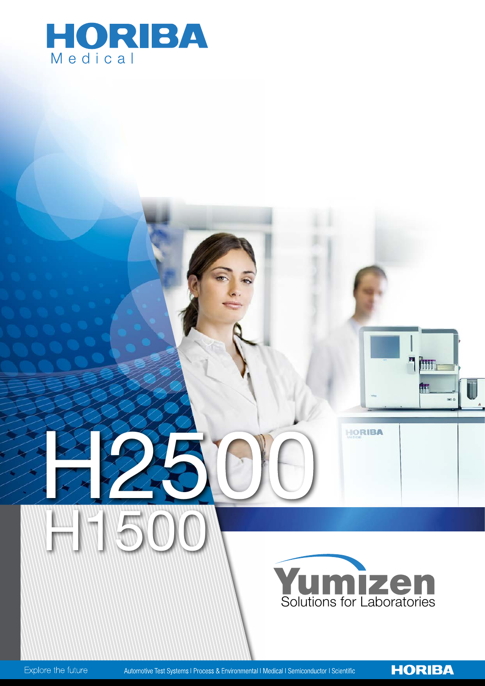



HORIBA

**Thur** 

fr:

**HORIBA** 

Explore the future

Automotive Test Systems I Process & Environmental I Medical I Semiconductor I Scientific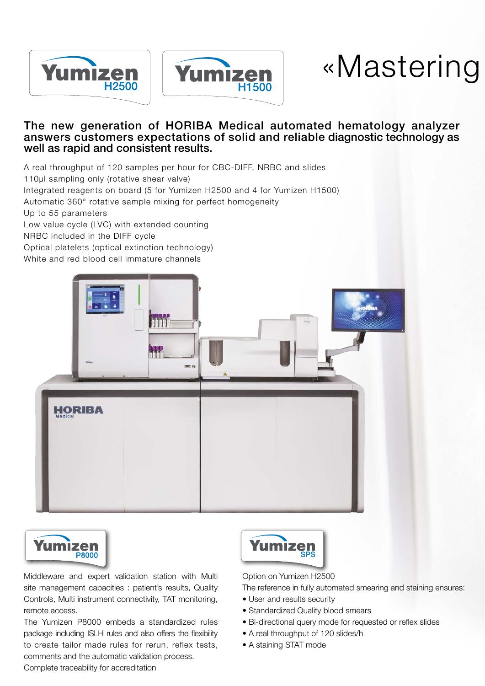



# «Mastering to deliver reliable results»

### The new generation of HORIBA Medical automated hematology analyzer answers customers expectations of solid and reliable diagnostic technology as well as rapid and consistent results.

A real throughput of 120 samples per hour for CBC-DIFF, NRBC and slides

110µl sampling only (rotative shear valve)

Integrated reagents on board (5 for Yumizen H2500 and 4 for Yumizen H1500)

Automatic 360° rotative sample mixing for perfect homogeneity

Up to 55 parameters

Low value cycle (LVC) with extended counting

NRBC included in the DIFF cycle

Optical platelets (optical extinction technology)

White and red blood cell immature channels





Middleware and expert validation station with Multi site management capacities : patient's results, Quality Controls, Multi instrument connectivity, TAT monitoring, remote access.

The Yumizen P8000 embeds a standardized rules package including ISLH rules and also offers the flexibility to create tailor made rules for rerun, reflex tests, comments and the automatic validation process. Complete traceability for accreditation



Option on Yumizen H2500

The reference in fully automated smearing and staining ensures:

- User and results security
- Standardized Quality blood smears
- Bi-directional query mode for requested or reflex slides
- A real throughput of 120 slides/h
- A staining STAT mode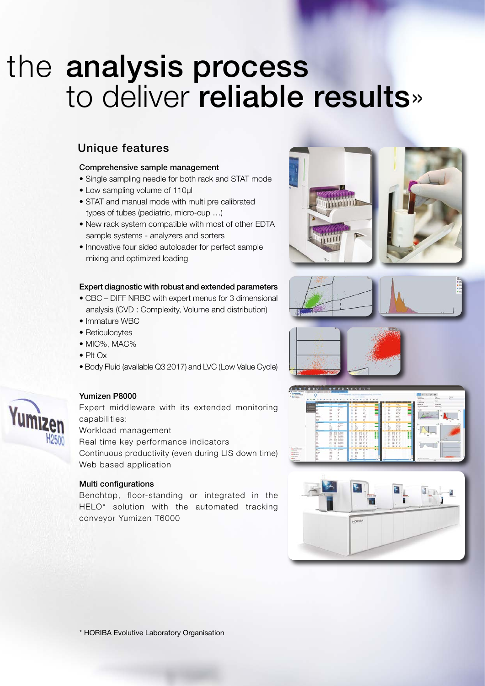# the analysis process to deliver reliable results»

# Unique features

#### Comprehensive sample management

- Single sampling needle for both rack and STAT mode
- Low sampling volume of 110µl
- STAT and manual mode with multi pre calibrated types of tubes (pediatric, micro-cup …)
- New rack system compatible with most of other EDTA sample systems - analyzers and sorters
- Innovative four sided autoloader for perfect sample mixing and optimized loading

#### Expert diagnostic with robust and extended parameters

- CBC DIFF NRBC with expert menus for 3 dimensional analysis (CVD : Complexity, Volume and distribution)
- Immature WBC
- Reticulocytes
- MIC%, MAC%
- Plt Ox
- Body Fluid (available Q3 2017) and LVC (Low Value Cycle)



## Yumizen P8000

Expert middleware with its extended monitoring capabilities:

Workload management

Real time key performance indicators

Continuous productivity (even during LIS down time) Web based application

## Multi configurations

Benchtop, floor-standing or integrated in the HELO\* solution with the automated tracking conveyor Yumizen T6000